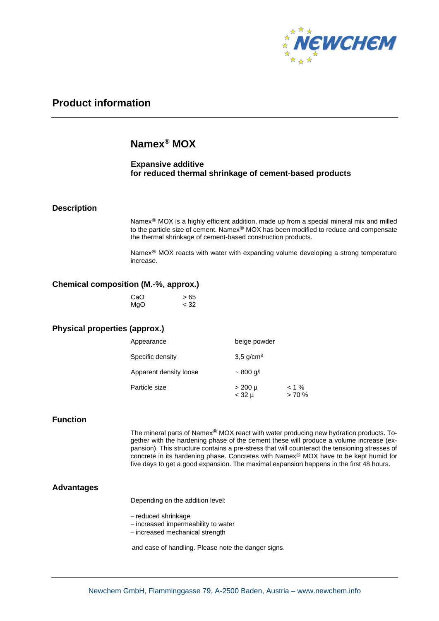

# **Product information**

# **Namex® MOX**

## **Expansive additive for reduced thermal shrinkage of cement-based products**

#### **Description**

Namex® MOX is a highly efficient addition, made up from a special mineral mix and milled to the particle size of cement. Namex® MOX has been modified to reduce and compensate the thermal shrinkage of cement-based construction products.

Namex<sup>®</sup> MOX reacts with water with expanding volume developing a strong temperature increase.

#### **Chemical composition (M.-%, approx.)**

| CaO | > 65 |
|-----|------|
| MgO | < 32 |

#### **Physical properties (approx.)**

| Appearance             | beige powder                |                  |
|------------------------|-----------------------------|------------------|
| Specific density       | $3,5$ g/cm <sup>3</sup>     |                  |
| Apparent density loose | $\sim 800$ g/l              |                  |
| Particle size          | $> 200 \mu$<br>$<$ 32 $\mu$ | $< 1 \%$<br>>70% |

## **Function**

The mineral parts of Namex® MOX react with water producing new hydration products. Together with the hardening phase of the cement these will produce a volume increase (expansion). This structure contains a pre-stress that will counteract the tensioning stresses of concrete in its hardening phase. Concretes with Namex® MOX have to be kept humid for five days to get a good expansion. The maximal expansion happens in the first 48 hours.

#### **Advantages**

Depending on the addition level:

- − reduced shrinkage
- − increased impermeability to water
- − increased mechanical strength

and ease of handling. Please note the danger signs.